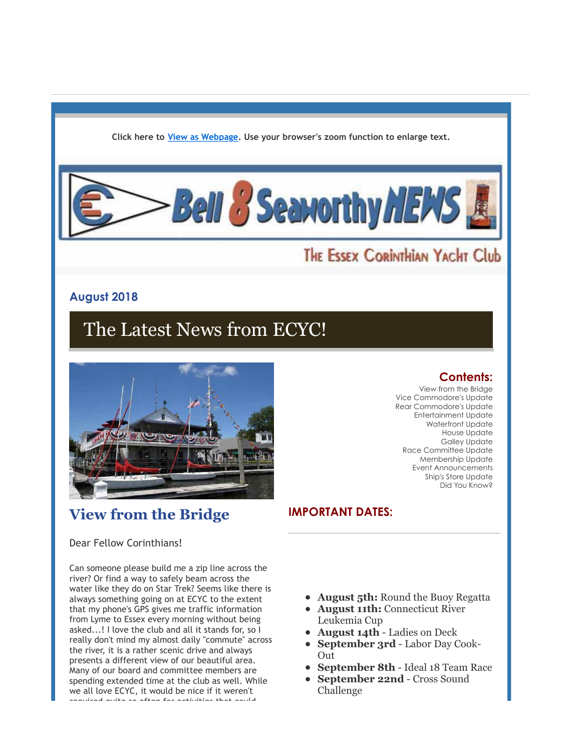**Click here to [View as Webpage](http://r20.rs6.net/tn.jsp?f=001BGP2tVMENpQbQGsyhJ0PGS7a2t7Tix0nlzZHkRP-1NbVFECSX4I9MaWmkxbWrDPmfoUUudcPdKZ56mkHB-iNGTyAj_8v_Hab_F-4JuflZoZOI3ON1WLa_LAfbuJHqOgSUKOzA8uzv1ji2xD0BIBODg==&c=2uagDuzm8tCugt7H3Iok7f5O1YYeYRZPI4sxaNmzDVA3Eg0NSPmhew==&ch=pGfDWU9tZAwVUs8adQa9TJUR2ctc7Xk06xivNnFe5Vi5peA5rVySrw==). Use your browser's zoom function to enlarge text.**



# THE ESSEX CORINTHIAN YACHT Club

## **August 2018**

# The Latest News from ECYC!



# **View from the Bridge**

### **Contents:**

View from the Bridge Vice Commodore's Update Rear Commodore's Update Entertainment Update Waterfront Update House Update Galley Update Race Committee Update Membership Update Event Announcements Ship's Store Update Did You Know?

## **IMPORTANT DATES:**

### Dear Fellow Corinthians!

Can someone please build me a zip line across the river? Or find a way to safely beam across the water like they do on Star Trek? Seems like there is always something going on at ECYC to the extent that my phone's GPS gives me traffic information from Lyme to Essex every morning without being asked...! I love the club and all it stands for, so I really don't mind my almost daily "commute" across the river, it is a rather scenic drive and always presents a different view of our beautiful area. Many of our board and committee members are spending extended time at the club as well. While we all love ECYC, it would be nice if it weren't required quite so often for activities that could

- **August 5th:** Round the Buoy Regatta
- **August 11th:** Connecticut River Leukemia Cup
- **August 14th** Ladies on Deck
- **September 3rd** Labor Day Cook-Out
- **September 8th** Ideal 18 Team Race
- **September 22nd** Cross Sound Challenge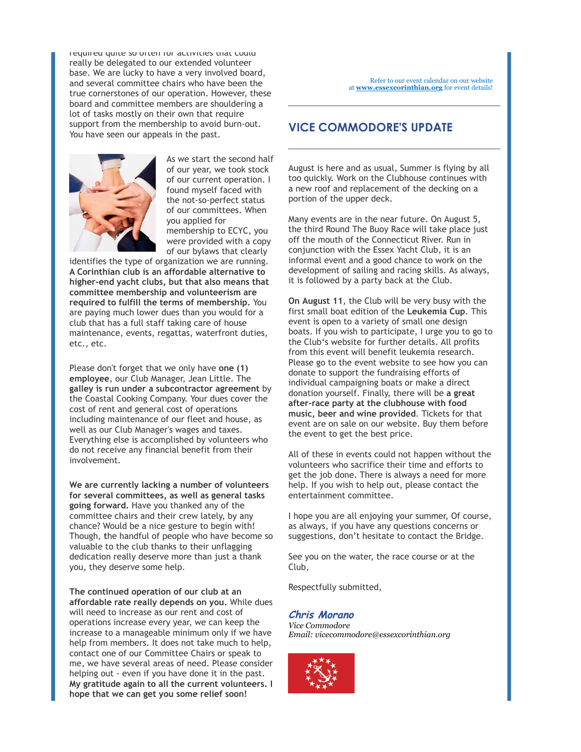required quite so often for activities that could really be delegated to our extended volunteer base. We are lucky to have a very involved board, and several committee chairs who have been the true cornerstones of our operation. However, these board and committee members are shouldering a lot of tasks mostly on their own that require support from the membership to avoid burn-out. You have seen our appeals in the past.



As we start the second half of our year, we took stock of our current operation. I found myself faced with the not-so-perfect status of our committees. When you applied for membership to ECYC, you were provided with a copy of our bylaws that clearly

identifies the type of organization we are running. **A Corinthian club is an affordable alternative to higher-end yacht clubs, but that also means that committee membership and volunteerism are required to fulfill the terms of membership.** You are paying much lower dues than you would for a club that has a full staff taking care of house maintenance, events, regattas, waterfront duties, etc., etc.

Please don't forget that we only have **one (1) employee**, our Club Manager, Jean Little. The **galley is run under a subcontractor agreement** by the Coastal Cooking Company. Your dues cover the cost of rent and general cost of operations including maintenance of our fleet and house, as well as our Club Manager's wages and taxes. Everything else is accomplished by volunteers who do not receive any financial benefit from their involvement.

**We are currently lacking a number of volunteers for several committees, as well as general tasks going forward.** Have you thanked any of the committee chairs and their crew lately, by any chance? Would be a nice gesture to begin with! Though, **t**he handful of people who have become so valuable to the club thanks to their unflagging dedication really deserve more than just a thank you, they deserve some help.

**The continued operation of our club at an affordable rate really depends on you.** While dues will need to increase as our rent and cost of operations increase every year, we can keep the increase to a manageable minimum only if we have help from members. It does not take much to help, contact one of our Committee Chairs or speak to me, we have several areas of need. Please consider helping out - even if you have done it in the past. **My gratitude again to all the current volunteers. I hope that we can get you some relief soon!**

### **VICE COMMODORE'S UPDATE**

August is here and as usual, Summer is flying by all too quickly. Work on the Clubhouse continues with a new roof and replacement of the decking on a portion of the upper deck.

Many events are in the near future. On August 5, the third Round The Buoy Race will take place just off the mouth of the Connecticut River. Run in conjunction with the Essex Yacht Club, it is an informal event and a good chance to work on the development of sailing and racing skills. As always, it is followed by a party back at the Club.

**On August 11**, the Club will be very busy with the first small boat edition of the **Leukemia Cup**. This event is open to a variety of small one design boats. If you wish to participate, I urge you to go to the Club's website for further details. All profits from this event will benefit leukemia research. Please go to the event website to see how you can donate to support the fundraising efforts of individual campaigning boats or make a direct donation yourself. Finally, there will be **a great after-race party at the clubhouse with food music, beer and wine provided**. Tickets for that event are on sale on our website. Buy them before the event to get the best price.

All of these in events could not happen without the volunteers who sacrifice their time and efforts to get the job done. There is always a need for more help. If you wish to help out, please contact the entertainment committee.

I hope you are all enjoying your summer, Of course, as always, if you have any questions concerns or suggestions, don't hesitate to contact the Bridge.

See you on the water, the race course or at the Club,

Respectfully submitted,

#### **Chris Morano**

*Vice Commodore Email: vicecommodore@essexcorinthian.org*

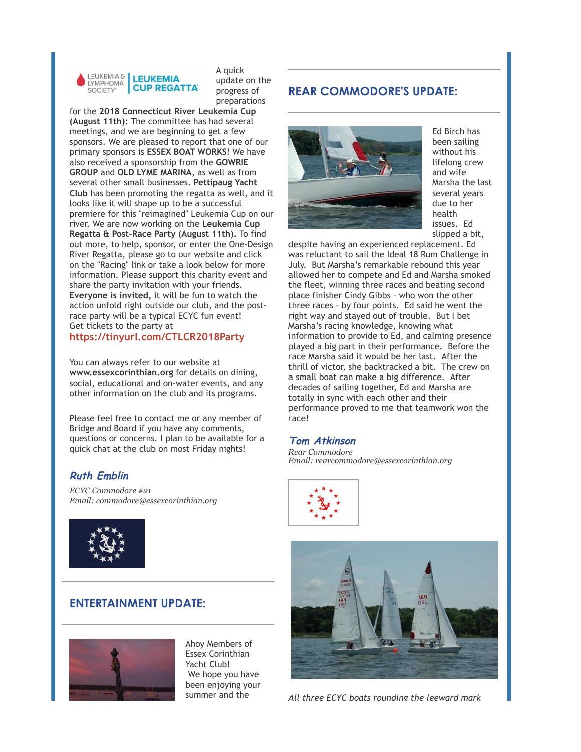

A quick update on the progress of preparations

for the **2018 Connecticut River Leukemia Cup (August 11th):** The committee has had several meetings, and we are beginning to get a few sponsors. We are pleased to report that one of our primary sponsors is **ESSEX BOAT WORKS**! We have also received a sponsorship from the **GOWRIE GROUP** and **OLD LYME MARINA**, as well as from several other small businesses. **Pettipaug Yacht Club** has been promoting the regatta as well, and it looks like it will shape up to be a successful premiere for this "reimagined" Leukemia Cup on our river. We are now working on the **Leukemia Cup Regatta & Post-Race Party (August 11th).** To find out more, to help, sponsor, or enter the One-Design River Regatta, please go to our website and click on the "Racing" link or take a look below for more information. Please support this charity event and share the party invitation with your friends. **Everyone is invited,** it will be fun to watch the action unfold right outside our club, and the postrace party will be a typical ECYC fun event! Get tickets to the party at

#### **[https://tinyurl.com/CTLCR2018Party](http://r20.rs6.net/tn.jsp?f=001BGP2tVMENpQbQGsyhJ0PGS7a2t7Tix0nlzZHkRP-1NbVFECSX4I9MaWmkxbWrDPmmeFTCT4uPYNY1YoYaaSf9ythE6OXkR7ZvSRe2fNQ3v3pdNTwtShWCI8gAexuTWs6fcmRvDv7thngvHxQjwxPsWSfMvutK5YC&c=2uagDuzm8tCugt7H3Iok7f5O1YYeYRZPI4sxaNmzDVA3Eg0NSPmhew==&ch=pGfDWU9tZAwVUs8adQa9TJUR2ctc7Xk06xivNnFe5Vi5peA5rVySrw==)**

You can always refer to our website at **www.essexcorinthian.org** for details on dining, social, educational and on-water events, and any other information on the club and its programs.

Please feel free to contact me or any member of Bridge and Board if you have any comments, questions or concerns. I plan to be available for a quick chat at the club on most Friday nights!

### **Ruth Emblin**

*ECYC Commodore #21 Email: commodore@essexcorinthian.org*



### **ENTERTAINMENT UPDATE:**



Ahoy Members of Essex Corinthian Yacht Club! We hope you have been enjoying your summer and the

### **REAR COMMODORE'S UPDATE:**



Ed Birch has been sailing without his lifelong crew and wife Marsha the last several years due to her health issues. Ed slipped a bit,

despite having an experienced replacement. Ed was reluctant to sail the Ideal 18 Rum Challenge in July. But Marsha's remarkable rebound this year allowed her to compete and Ed and Marsha smoked the fleet, winning three races and beating second place finisher Cindy Gibbs – who won the other three races – by four points. Ed said he went the right way and stayed out of trouble. But I bet Marsha's racing knowledge, knowing what information to provide to Ed, and calming presence played a big part in their performance. Before the race Marsha said it would be her last. After the thrill of victor, she backtracked a bit. The crew on a small boat can make a big difference. After decades of sailing together, Ed and Marsha are totally in sync with each other and their performance proved to me that teamwork won the race!

#### **Tom Atkinson**

*Rear Commodore Email: rearcommodore@essexcorinthian.org*





*All three ECYC boats rounding the leeward mark*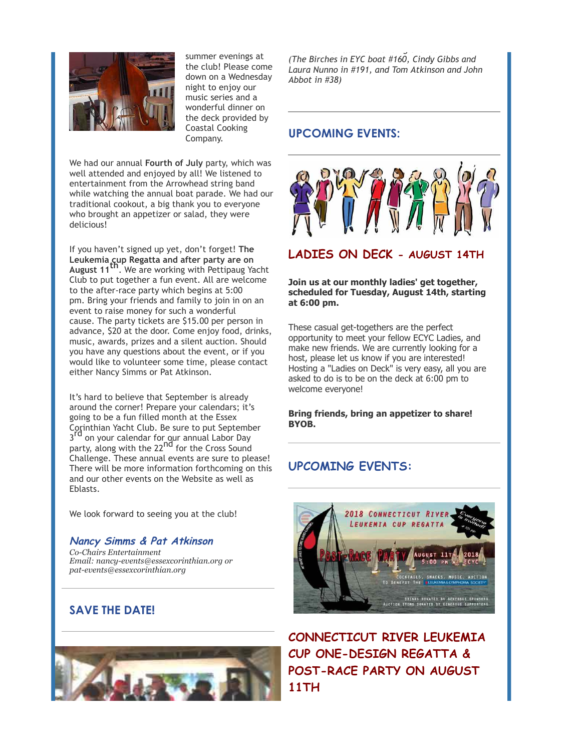

summer evenings at the club! Please come down on a Wednesday night to enjoy our music series and a wonderful dinner on the deck provided by Coastal Cooking Company.

We had our annual **Fourth of July** party, which was well attended and enjoyed by all! We listened to entertainment from the Arrowhead string band while watching the annual boat parade. We had our traditional cookout, a big thank you to everyone who brought an appetizer or salad, they were delicious!

If you haven't signed up yet, don't forget! **The Leukemia cup Regatta and after party are on<br><b>August 11<sup>th</sup>.** We are working with Pettipaug Yacht Club to put together a fun event. All are welcome to the after-race party which begins at 5:00 pm. Bring your friends and family to join in on an event to raise money for such a wonderful cause. The party tickets are \$15.00 per person in advance, \$20 at the door. Come enjoy food, drinks, music, awards, prizes and a silent auction. Should you have any questions about the event, or if you would like to volunteer some time, please contact either Nancy Simms or Pat Atkinson.

It's hard to believe that September is already around the corner! Prepare your calendars; it's going to be a fun filled month at the Essex Corinthian Yacht Club. Be sure to put September 3<sup>rd</sup> on your calendar for our annual Labor Day party, along with the 22<sup>nd</sup> for the Cross Sound Challenge. These annual events are sure to please! There will be more information forthcoming on this and our other events on the Website as well as Eblasts.

We look forward to seeing you at the club!

**Nancy Simms & Pat Atkinson** *Co-Chairs Entertainment Email: nancy-events@essexcorinthian.org or pat-events@essexcorinthian.org*

## **SAVE THE DATE!**



*All three ECYC boats rounding the leeward mark (The Birches in EYC boat #160, Cindy Gibbs and Laura Nunno in #191, and Tom Atkinson and John Abbot in #38)*

### **UPCOMING EVENTS:**



#### **Join us at our monthly ladies' get together, scheduled for Tuesday, August 14th, starting at 6:00 pm.**

These casual get-togethers are the perfect opportunity to meet your fellow ECYC Ladies, and make new friends. We are currently looking for a host, please let us know if you are interested! Hosting a "Ladies on Deck" is very easy, all you are asked to do is to be on the deck at 6:00 pm to welcome everyone!

**Bring friends, bring an appetizer to share! BYOB.**

# **UPCOMING EVENTS:**



**CONNECTICUT RIVER LEUKEMIA CUP ONE-DESIGN REGATTA & POST-RACE PARTY ON AUGUST 11TH**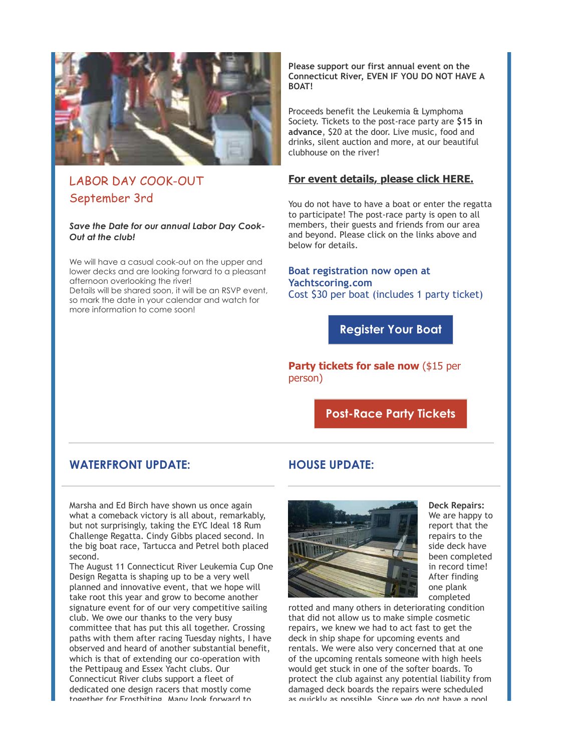

# LABOR DAY COOK-OUT September 3rd

#### *Save the Date for our annual Labor Day Cook-Out at the club!*

We will have a casual cook-out on the upper and lower decks and are looking forward to a pleasant afternoon overlooking the river!

Details will be shared soon, it will be an RSVP event, so mark the date in your calendar and watch for more information to come soon!

#### **Please support our first annual event on the Connecticut River, EVEN IF YOU DO NOT HAVE A BOAT!**

Proceeds benefit the Leukemia & Lymphoma Society. Tickets to the post-race party are **\$15 in advance**, \$20 at the door. Live music, food and drinks, silent auction and more, at our beautiful clubhouse on the river!

### **[For event details, please click HERE.](http://r20.rs6.net/tn.jsp?f=001BGP2tVMENpQbQGsyhJ0PGS7a2t7Tix0nlzZHkRP-1NbVFECSX4I9MRmJ3VgVJyaQQeuMnL7m3LxIFMvayTiJK4Z8BPVIN2y-_VPO8p0eDthvJgH0JpjKZR7dL74dOWnXABHZ4igUPy9pf3Iuu74O-ACwSOXSMoyib8sfBmFmLW0CsCoyZkc51pstwGgTVq0g&c=2uagDuzm8tCugt7H3Iok7f5O1YYeYRZPI4sxaNmzDVA3Eg0NSPmhew==&ch=pGfDWU9tZAwVUs8adQa9TJUR2ctc7Xk06xivNnFe5Vi5peA5rVySrw==)**

You do not have to have a boat or enter the regatta to participate! The post-race party is open to all members, their guests and friends from our area and beyond. Please click on the links above and below for details.

#### **Boat registration now open at Yachtscoring.com** Cost \$30 per boat (includes 1 party ticket)

**[Register Your Boat](http://r20.rs6.net/tn.jsp?f=001BGP2tVMENpQbQGsyhJ0PGS7a2t7Tix0nlzZHkRP-1NbVFECSX4I9MRmJ3VgVJyaQQYXlTUFyfRiBy1TIhdKiob2ohFxYY3kZmeozFVggDLWnA2iRFfJLUGMm8Pce920x88udtAVBghoNyFUiFiFQ4mdedRac5db5ppgjLoZclQ7X6VU6TTdDhw==&c=2uagDuzm8tCugt7H3Iok7f5O1YYeYRZPI4sxaNmzDVA3Eg0NSPmhew==&ch=pGfDWU9tZAwVUs8adQa9TJUR2ctc7Xk06xivNnFe5Vi5peA5rVySrw==)**

**Party tickets for sale now (\$15 per** person)

**[Post-Race Party Tickets](http://r20.rs6.net/tn.jsp?f=001BGP2tVMENpQbQGsyhJ0PGS7a2t7Tix0nlzZHkRP-1NbVFECSX4I9MRmJ3VgVJyaQt9hqFOPSYvhmRiZqjS7ix-VLIQVXErFSazKM5sRV6Jl7-cmMOgR0hojEes16JC013xdm3mcKGDkoANxxgFQ_xRWiEDQjbgeSPgOxl8kziWU9wkcyONhKRuV-82WSZgl8On7VZ8Wa8pof3s6ulkWGvzW45CAeqkI-A7ec0UumbdcuqIgLa8Xsesw_QbBvjetltuUkYMUogcs=&c=2uagDuzm8tCugt7H3Iok7f5O1YYeYRZPI4sxaNmzDVA3Eg0NSPmhew==&ch=pGfDWU9tZAwVUs8adQa9TJUR2ctc7Xk06xivNnFe5Vi5peA5rVySrw==)**

### **WATERFRONT UPDATE:**

Marsha and Ed Birch have shown us once again what a comeback victory is all about, remarkably, but not surprisingly, taking the EYC Ideal 18 Rum Challenge Regatta. Cindy Gibbs placed second. In the big boat race, Tartucca and Petrel both placed second.

The August 11 Connecticut River Leukemia Cup One Design Regatta is shaping up to be a very well planned and innovative event, that we hope will take root this year and grow to become another signature event for of our very competitive sailing club. We owe our thanks to the very busy committee that has put this all together. Crossing paths with them after racing Tuesday nights, I have observed and heard of another substantial benefit, which is that of extending our co-operation with the Pettipaug and Essex Yacht clubs. Our Connecticut River clubs support a fleet of dedicated one design racers that mostly come together for Frostbiting. Many look forward to

### **HOUSE UPDATE:**



**Deck Repairs:** We are happy to report that the repairs to the side deck have been completed in record time! After finding one plank completed

rotted and many others in deteriorating condition that did not allow us to make simple cosmetic repairs, we knew we had to act fast to get the deck in ship shape for upcoming events and rentals. We were also very concerned that at one of the upcoming rentals someone with high heels would get stuck in one of the softer boards. To protect the club against any potential liability from damaged deck boards the repairs were scheduled as quickly as possible. Since we do not have a pool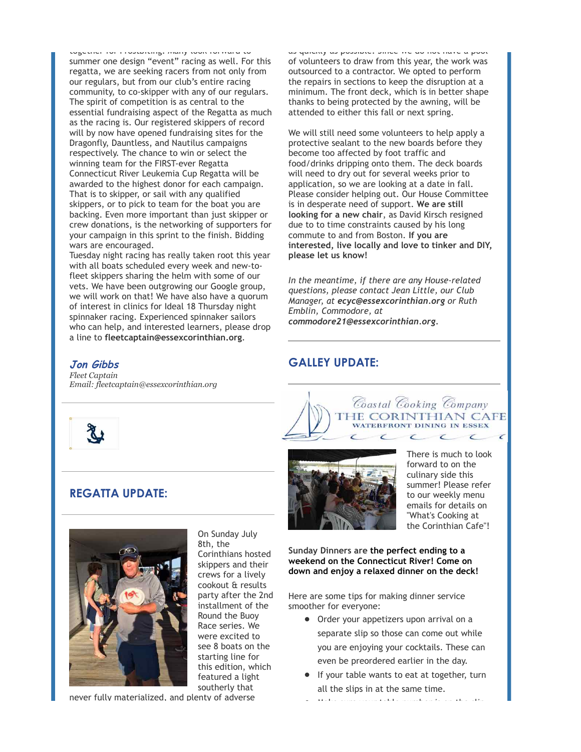together for Frostbiting. Many look forward to summer one design "event" racing as well. For this regatta, we are seeking racers from not only from our regulars, but from our club's entire racing community, to co-skipper with any of our regulars. The spirit of competition is as central to the essential fundraising aspect of the Regatta as much as the racing is. Our registered skippers of record will by now have opened fundraising sites for the Dragonfly, Dauntless, and Nautilus campaigns respectively. The chance to win or select the winning team for the FIRST-ever Regatta Connecticut River Leukemia Cup Regatta will be awarded to the highest donor for each campaign. That is to skipper, or sail with any qualified skippers, or to pick to team for the boat you are backing. Even more important than just skipper or crew donations, is the networking of supporters for your campaign in this sprint to the finish. Bidding wars are encouraged.

Tuesday night racing has really taken root this year with all boats scheduled every week and new-tofleet skippers sharing the helm with some of our vets. We have been outgrowing our Google group, we will work on that! We have also have a quorum of interest in clinics for Ideal 18 Thursday night spinnaker racing. Experienced spinnaker sailors who can help, and interested learners, please drop a line to **[fleetcaptain@essexcorinthian.org](mailto:fleetcaptain@essexcorinthian.org)**.

#### **Jon Gibbs**

*Fleet Captain Email: [fleetcaptain@essexcorinthian.org](mailto:fleetcaptain@essexcorinthian.org)*



### **REGATTA UPDATE:**



On Sunday July 8th, the Corinthians hosted skippers and their crews for a lively cookout & results party after the 2nd installment of the Round the Buoy Race series. We were excited to see 8 boats on the starting line for this edition, which featured a light southerly that

never fully materialized, and plenty of adverse

as quickly as possible. Since we do not have a pool of volunteers to draw from this year, the work was outsourced to a contractor. We opted to perform the repairs in sections to keep the disruption at a minimum. The front deck, which is in better shape thanks to being protected by the awning, will be attended to either this fall or next spring.

We will still need some volunteers to help apply a protective sealant to the new boards before they become too affected by foot traffic and food/drinks dripping onto them. The deck boards will need to dry out for several weeks prior to application, so we are looking at a date in fall. Please consider helping out. Our House Committee is in desperate need of support. **We are still looking for a new chair**, as David Kirsch resigned due to to time constraints caused by his long commute to and from Boston. **If you are interested, live locally and love to tinker and DIY, please let us know!**

*In the meantime, if there are any House-related questions, please contact Jean Little, our Club Manager, at [ecyc@essexcorinthian.org](mailto:ecyc@essexcorinthian.org) or Ruth Emblin, Commodore, at [commodore21@essexcorinthian.org](mailto:commodore21@essexcorinthian.org).*

### **GALLEY UPDATE:**





There is much to look forward to on the culinary side this summer! Please refer to our weekly menu emails for details on "What's Cooking at the Corinthian Cafe"!

**Sunday Dinners are the perfect ending to a weekend on the Connecticut River! Come on down and enjoy a relaxed dinner on the deck!**

Here are some tips for making dinner service smoother for everyone:

- Order your appetizers upon arrival on a separate slip so those can come out while you are enjoying your cocktails. These can even be preordered earlier in the day.
- **If your table wants to eat at together, turn** all the slips in at the same time.
- Make sure your table number is on the slip.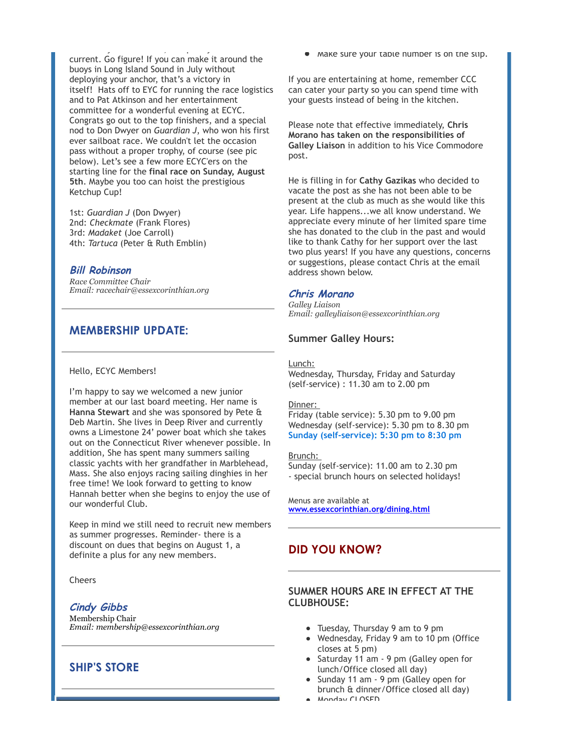never fully materialized, and plenty of adverse of adverse of adverse of adverse of adverse of adverse of adve current. Go figure! If you can make it around the buoys in Long Island Sound in July without deploying your anchor, that's a victory in itself! Hats off to EYC for running the race logistics and to Pat Atkinson and her entertainment committee for a wonderful evening at ECYC. Congrats go out to the top finishers, and a special nod to Don Dwyer on *Guardian J*, who won his first ever sailboat race. We couldn't let the occasion pass without a proper trophy, of course (see pic below). Let's see a few more ECYC'ers on the starting line for the **final race on Sunday, August 5th**. Maybe you too can hoist the prestigious Ketchup Cup!

1st: *Guardian J* (Don Dwyer) 2nd: *Checkmate* (Frank Flores) 3rd: *Madaket* (Joe Carroll) 4th: *Tartuca* (Peter & Ruth Emblin)

#### **Bill Robinson**

*Race Committee Chair Email: racechair@essexcorinthian.org*

### **MEMBERSHIP UPDATE:**

#### Hello, ECYC Members!

I'm happy to say we welcomed a new junior member at our last board meeting. Her name is **Hanna Stewart** and she was sponsored by Pete & Deb Martin. She lives in Deep River and currently owns a Limestone 24' power boat which she takes out on the Connecticut River whenever possible. In addition, She has spent many summers sailing classic yachts with her grandfather in Marblehead, Mass. She also enjoys racing sailing dinghies in her free time! We look forward to getting to know Hannah better when she begins to enjoy the use of our wonderful Club.

Keep in mind we still need to recruit new members as summer progresses. Reminder- there is a discount on dues that begins on August 1, a definite a plus for any new members.

#### Cheers

#### **Cindy Gibbs**

Membership Chair *Email: membership@essexcorinthian.org*

### **SHIP'S STORE**

• Make sure your table number is on the slip.

If you are entertaining at home, remember CCC can cater your party so you can spend time with your guests instead of being in the kitchen.

Please note that effective immediately, **Chris Morano has taken on the responsibilities of Galley Liaison** in addition to his Vice Commodore post.

He is filling in for **Cathy Gazikas** who decided to vacate the post as she has not been able to be present at the club as much as she would like this year. Life happens...we all know understand. We appreciate every minute of her limited spare time she has donated to the club in the past and would like to thank Cathy for her support over the last two plus years! If you have any questions, concerns or suggestions, please contact Chris at the email address shown below.

### **Chris Morano**

*Galley Liaison Email: galleyliaison@essexcorinthian.org*

#### **Summer Galley Hours:**

Lunch:

Wednesday, Thursday, Friday and Saturday (self-service) : 11.30 am to 2.00 pm

#### Dinner:

Friday (table service): 5.30 pm to 9.00 pm Wednesday (self-service): 5.30 pm to 8.30 pm **Sunday (self-service): 5:30 pm to 8:30 pm**

#### Brunch:

Sunday (self-service): 11.00 am to 2.30 pm - special brunch hours on selected holidays!

Menus are available at **[www.essexcorinthian.org/dining.html](http://r20.rs6.net/tn.jsp?f=001BGP2tVMENpQbQGsyhJ0PGS7a2t7Tix0nlzZHkRP-1NbVFECSX4I9MZ1_ua1QGzEGCpNSctJQ4OCSAFZOPidh6LbiJi6IozTu1fMVgTYhlggb78BiO9Wf9n7eZsZpWqBRL87zHXI-IHRlftFV8jRgPGzTreQlJBN4oW9AH7NcnXw=&c=2uagDuzm8tCugt7H3Iok7f5O1YYeYRZPI4sxaNmzDVA3Eg0NSPmhew==&ch=pGfDWU9tZAwVUs8adQa9TJUR2ctc7Xk06xivNnFe5Vi5peA5rVySrw==)**

### **DID YOU KNOW?**

### **SUMMER HOURS ARE IN EFFECT AT THE CLUBHOUSE:**

- Tuesday, Thursday 9 am to 9 pm
- Wednesday, Friday 9 am to 10 pm (Office closes at 5 pm)
- Saturday 11 am 9 pm (Galley open for lunch/Office closed all day)
- Sunday 11 am 9 pm (Galley open for brunch & dinner/Office closed all day)
- Monday CLOSED